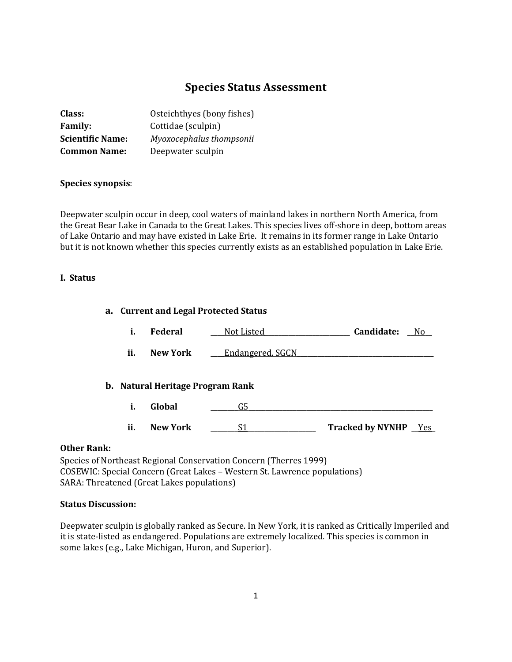## **Species Status Assessment**

| Class:                  | Osteichthyes (bony fishes) |
|-------------------------|----------------------------|
| <b>Family:</b>          | Cottidae (sculpin)         |
| <b>Scientific Name:</b> | Myoxocephalus thompsonii   |
| <b>Common Name:</b>     | Deepwater sculpin          |

## **Species synopsis**:

Deepwater sculpin occur in deep, cool waters of mainland lakes in northern North America, from the Great Bear Lake in Canada to the Great Lakes. This species lives off-shore in deep, bottom areas of Lake Ontario and may have existed in Lake Erie. It remains in its former range in Lake Ontario but it is not known whether this species currently exists as an established population in Lake Erie.

#### **I. Status**

# **a. Current and Legal Protected Status i. Federal \_\_\_\_**Not Listed**\_\_\_\_\_\_\_\_\_\_\_\_\_\_\_\_\_\_\_\_\_\_\_\_\_ Candidate: \_\_**No**\_\_ ii. New York Lear Endangered, SGCN b. Natural Heritage Program Rank i. Global \_\_\_\_\_\_\_\_**G5**\_\_\_\_\_\_\_\_\_\_\_\_\_\_\_\_\_\_\_\_\_\_\_\_\_\_\_\_\_\_\_\_\_\_\_\_\_\_\_\_\_\_\_\_\_\_\_\_\_\_\_\_\_\_ ii. New York \_\_\_\_\_\_\_\_**S1**\_\_\_\_\_\_\_\_\_\_\_\_\_\_\_\_\_\_\_\_ Tracked by NYNHP \_\_**Yes**\_**

## **Other Rank:**

Species of Northeast Regional Conservation Concern (Therres 1999) COSEWIC: Special Concern (Great Lakes – Western St. Lawrence populations) SARA: Threatened (Great Lakes populations)

#### **Status Discussion:**

Deepwater sculpin is globally ranked as Secure. In New York, it is ranked as Critically Imperiled and it is state-listed as endangered. Populations are extremely localized. This species is common in some lakes (e.g., Lake Michigan, Huron, and Superior).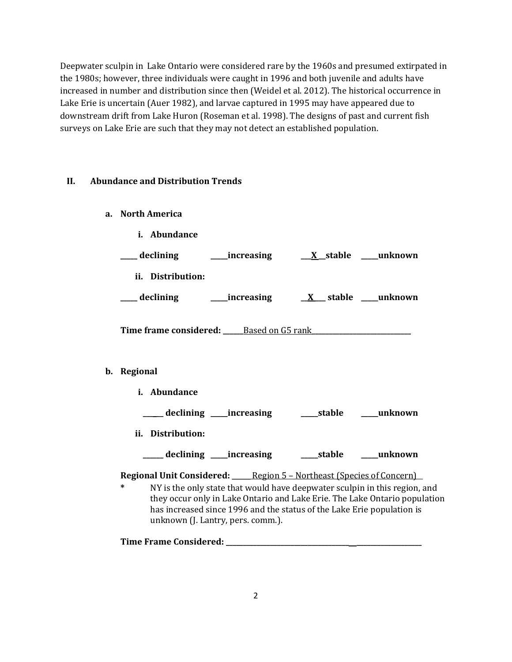Deepwater sculpin in Lake Ontario were considered rare by the 1960s and presumed extirpated in the 1980s; however, three individuals were caught in 1996 and both juvenile and adults have increased in number and distribution since then (Weidel et al. 2012). The historical occurrence in Lake Erie is uncertain (Auer 1982), and larvae captured in 1995 may have appeared due to downstream drift from Lake Huron (Roseman et al. 1998). The designs of past and current fish surveys on Lake Erie are such that they may not detect an established population.

## **II. Abundance and Distribution Trends**

- **a. North America**
	- **i. Abundance**

**\_\_\_\_\_ declining \_\_\_\_\_increasing \_\_\_X \_\_stable \_\_\_\_\_unknown ii. Distribution:**

**\_\_\_\_\_ declining \_\_\_\_\_increasing \_\_X \_\_\_ stable \_\_\_\_\_unknown**

Time frame considered: \_\_\_\_\_Based on G5 rank

#### **b. Regional**

- **i. Abundance**
- **\_\_\_\_\_\_ declining \_\_\_\_\_increasing \_\_\_\_\_stable \_\_\_\_\_unknown ii. Distribution: \_\_\_\_\_\_ declining \_\_\_\_\_increasing \_\_\_\_\_stable \_\_\_\_\_unknown Regional Unit Considered: \_\_\_\_\_\_** Region 5 – Northeast (Species of Concern) **\*** NY is the only state that would have deepwater sculpin in this region, and
- they occur only in Lake Ontario and Lake Erie. The Lake Ontario population has increased since 1996 and the status of the Lake Erie population is unknown (J. Lantry, pers. comm.).

| <b>Time Frame Considered:</b> |  |  |
|-------------------------------|--|--|
|-------------------------------|--|--|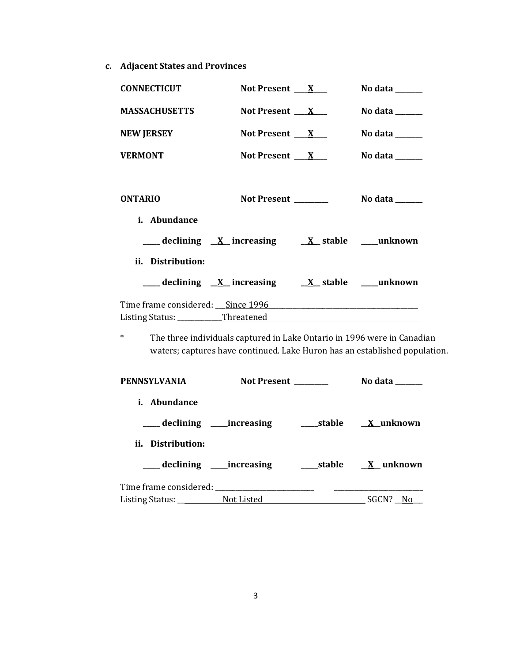**c. Adjacent States and Provinces**

| <b>CONNECTICUT</b>   | Not Present $X_{-}$                                                                                                                                   | No data ______ |
|----------------------|-------------------------------------------------------------------------------------------------------------------------------------------------------|----------------|
| <b>MASSACHUSETTS</b> | Not Present $X_{-}$                                                                                                                                   | No data _____  |
| <b>NEW JERSEY</b>    | Not Present $X_{-}$                                                                                                                                   | No data ______ |
| <b>VERMONT</b>       | Not Present $\mathbf{X}$                                                                                                                              | No data ______ |
| <b>ONTARIO</b>       | Not Present _______                                                                                                                                   | No data ______ |
| i. Abundance         |                                                                                                                                                       |                |
|                      | ___ declining <u>X</u> increasing <u>X</u> stable ___ unknown                                                                                         |                |
| ii. Distribution:    |                                                                                                                                                       |                |
|                      | declining X increasing X stable _____ unknown                                                                                                         |                |
|                      | Listing Status: ___________Threatened                                                                                                                 |                |
| $\ast$               | The three individuals captured in Lake Ontario in 1996 were in Canadian<br>waters; captures have continued. Lake Huron has an established population. |                |
| <b>PENNSYLVANIA</b>  | Not Present _______                                                                                                                                   | No data ______ |
| i. Abundance         |                                                                                                                                                       |                |
|                      |                                                                                                                                                       |                |
| ii. Distribution:    |                                                                                                                                                       |                |
|                      |                                                                                                                                                       |                |
|                      |                                                                                                                                                       |                |
|                      |                                                                                                                                                       |                |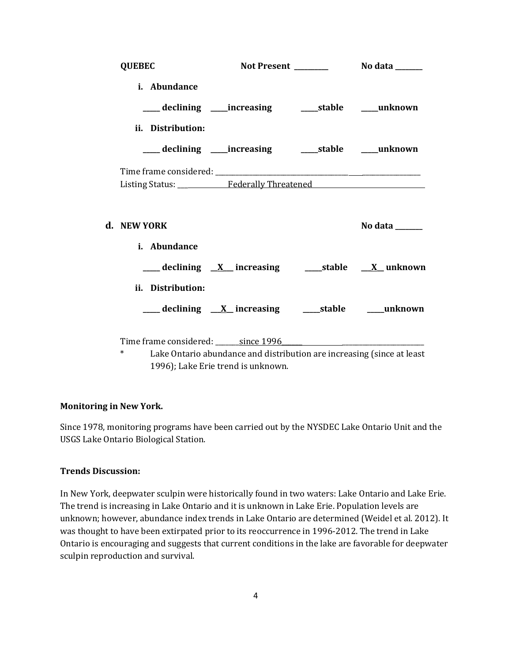| <b>QUEBEC</b>     |                                                                          |                                   |
|-------------------|--------------------------------------------------------------------------|-----------------------------------|
| i. Abundance      |                                                                          |                                   |
| ii. Distribution: | ___ declining ____ increasing _____ stable ____ unknown                  |                                   |
|                   |                                                                          |                                   |
|                   |                                                                          |                                   |
| d. NEW YORK       |                                                                          | No data $\_\_\_\_\_\_\_\_\_\_\_\$ |
| i. Abundance      |                                                                          |                                   |
|                   | ___ declining <u>X</u> _ increasing _______stable ___ <u>X</u> _ unknown |                                   |
| ii. Distribution: |                                                                          |                                   |
|                   |                                                                          |                                   |
|                   |                                                                          |                                   |

Lake Ontario abundance and distribution are increasing (since at least 1996); Lake Erie trend is unknown.

## **Monitoring in New York.**

Since 1978, monitoring programs have been carried out by the NYSDEC Lake Ontario Unit and the USGS Lake Ontario Biological Station.

## **Trends Discussion:**

In New York, deepwater sculpin were historically found in two waters: Lake Ontario and Lake Erie. The trend is increasing in Lake Ontario and it is unknown in Lake Erie. Population levels are unknown; however, abundance index trends in Lake Ontario are determined (Weidel et al. 2012). It was thought to have been extirpated prior to its reoccurrence in 1996-2012. The trend in Lake Ontario is encouraging and suggests that current conditions in the lake are favorable for deepwater sculpin reproduction and survival.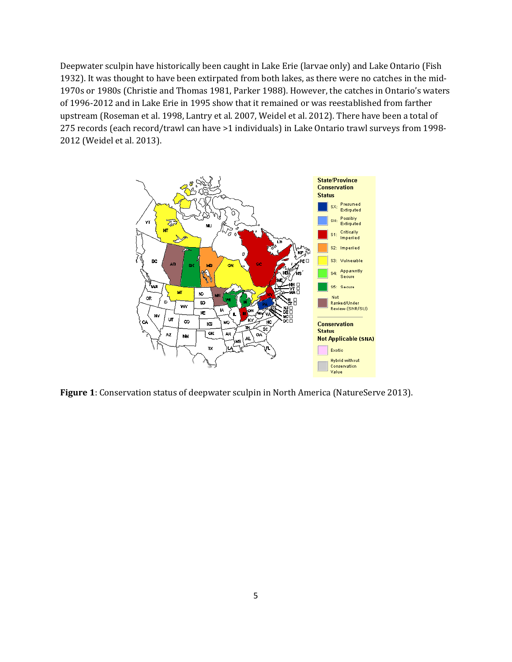Deepwater sculpin have historically been caught in Lake Erie (larvae only) and Lake Ontario (Fish 1932). It was thought to have been extirpated from both lakes, as there were no catches in the mid-1970s or 1980s (Christie and Thomas 1981, Parker 1988). However, the catches in Ontario's waters of 1996-2012 and in Lake Erie in 1995 show that it remained or was reestablished from farther upstream (Roseman et al. 1998, Lantry et al. 2007, Weidel et al. 2012). There have been a total of 275 records (each record/trawl can have >1 individuals) in Lake Ontario trawl surveys from 1998- 2012 (Weidel et al. 2013).



**Figure 1**: Conservation status of deepwater sculpin in North America (NatureServe 2013).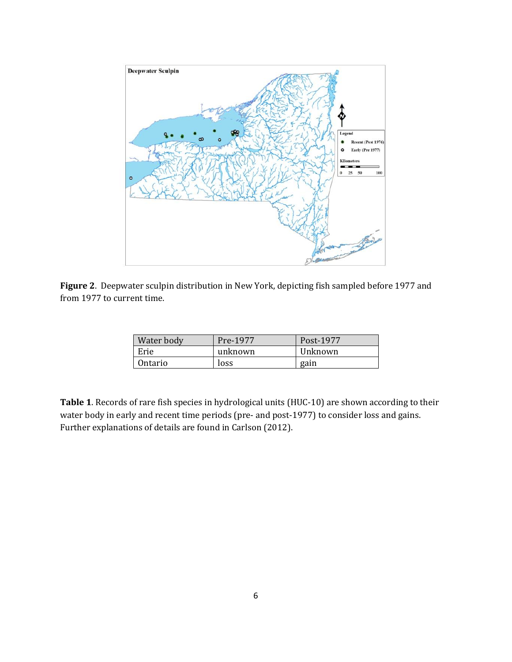

**Figure 2**. Deepwater sculpin distribution in New York, depicting fish sampled before 1977 and from 1977 to current time.

| Water body | Pre-1977 | Post-1977 |
|------------|----------|-----------|
| Erie       | unknown  | Unknown   |
| Ontario    | loss     | gain      |

**Table 1**. Records of rare fish species in hydrological units (HUC-10) are shown according to their water body in early and recent time periods (pre- and post-1977) to consider loss and gains. Further explanations of details are found in Carlson (2012).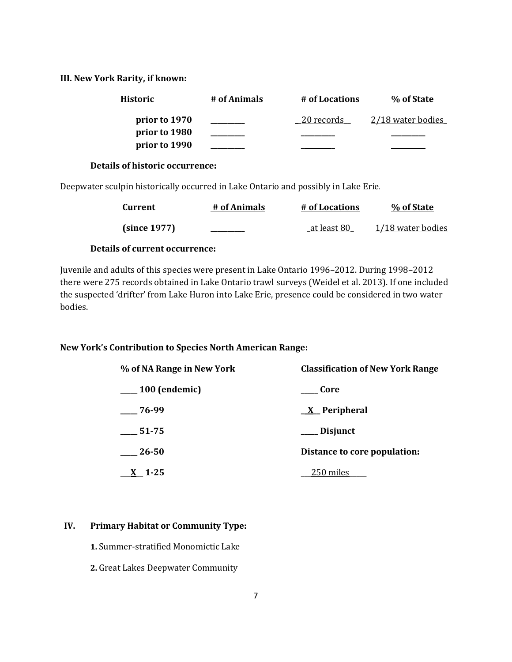#### **III. New York Rarity, if known:**

| <b>Historic</b> | # of Animals | # of Locations | % of State        |
|-----------------|--------------|----------------|-------------------|
| prior to 1970   |              | 20 records     | 2/18 water bodies |
| prior to 1980   |              |                |                   |
| prior to 1990   |              |                |                   |

## **Details of historic occurrence:**

Deepwater sculpin historically occurred in Lake Ontario and possibly in Lake Erie.

| Current      | # of Animals | # of Locations | % of State        |
|--------------|--------------|----------------|-------------------|
| (since 1977) |              | at least 80    | 1/18 water bodies |

## **Details of current occurrence:**

Juvenile and adults of this species were present in Lake Ontario 1996–2012. During 1998–2012 there were 275 records obtained in Lake Ontario trawl surveys (Weidel et al. 2013). If one included the suspected 'drifter' from Lake Huron into Lake Erie, presence could be considered in two water bodies.

## **New York's Contribution to Species North American Range:**

| % of NA Range in New York | <b>Classification of New York Range</b> |  |
|---------------------------|-----------------------------------------|--|
| $\frac{100}{2}$ (endemic) | Core                                    |  |
| 76-99                     | <u>X</u> Peripheral                     |  |
| 51-75                     | Disjunct                                |  |
| 26-50                     | Distance to core population:            |  |
| $X_{1-}$ 1-25             | 250 miles                               |  |

## **IV. Primary Habitat or Community Type:**

- **1.** Summer-stratified Monomictic Lake
- **2.** Great Lakes Deepwater Community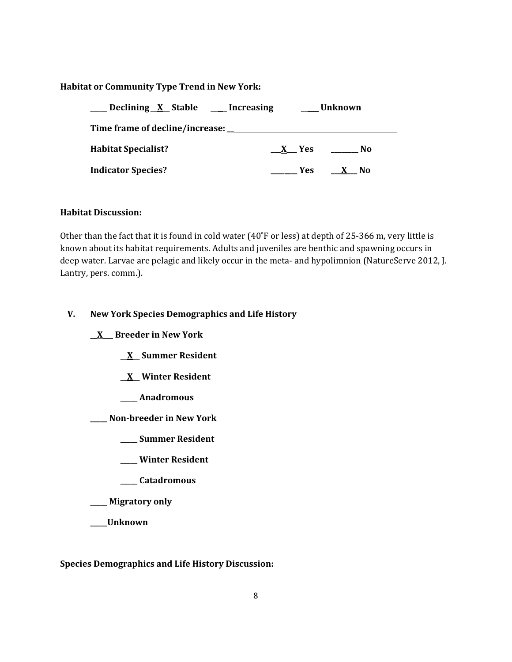## **Habitat or Community Type Trend in New York:**

| Declining X Stable __ Increasing |                    | __ Unknown |  |
|----------------------------------|--------------------|------------|--|
|                                  |                    |            |  |
| <b>Habitat Specialist?</b>       | X Yes              | No.        |  |
| <b>Indicator Species?</b>        | <b>Example SER</b> | X No       |  |

## **Habitat Discussion:**

Other than the fact that it is found in cold water (40˚F or less) at depth of 25-366 m, very little is known about its habitat requirements. Adults and juveniles are benthic and spawning occurs in deep water. Larvae are pelagic and likely occur in the meta- and hypolimnion (NatureServe 2012, J. Lantry, pers. comm.).

## **V. New York Species Demographics and Life History**

**\_\_X\_\_\_ Breeder in New York**

- **\_\_X\_\_ Summer Resident**
- **\_\_X\_\_ Winter Resident**
- **\_\_\_\_\_ Anadromous**

**\_\_\_\_\_ Non-breeder in New York**

- **\_\_\_\_\_ Summer Resident**
- **\_\_\_\_\_ Winter Resident**
- **\_\_\_\_\_ Catadromous**

**\_\_\_\_\_ Migratory only**

**\_\_\_\_\_Unknown**

**Species Demographics and Life History Discussion:**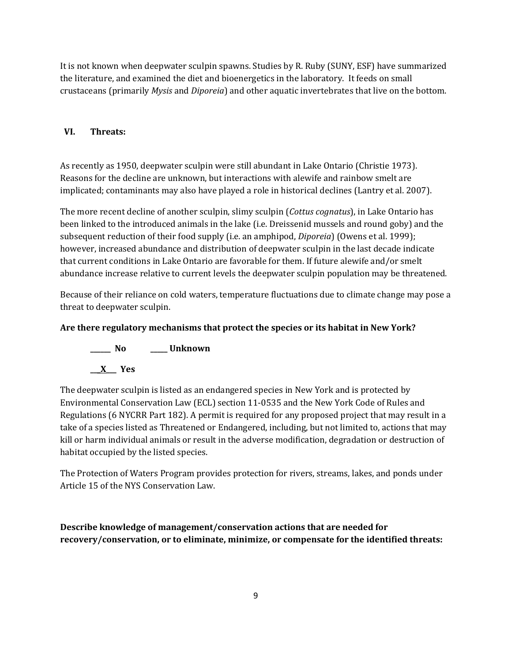It is not known when deepwater sculpin spawns. Studies by R. Ruby (SUNY, ESF) have summarized the literature, and examined the diet and bioenergetics in the laboratory. It feeds on small crustaceans (primarily *Mysis* and *Diporeia*) and other aquatic invertebrates that live on the bottom.

## **VI. Threats:**

As recently as 1950, deepwater sculpin were still abundant in Lake Ontario (Christie 1973). Reasons for the decline are unknown, but interactions with alewife and rainbow smelt are implicated; contaminants may also have played a role in historical declines (Lantry et al. 2007).

The more recent decline of another sculpin, slimy sculpin (*Cottus cognatus*), in Lake Ontario has been linked to the introduced animals in the lake (i.e. Dreissenid mussels and round goby) and the subsequent reduction of their food supply (i.e. an amphipod, *Diporeia*) (Owens et al. 1999); however, increased abundance and distribution of deepwater sculpin in the last decade indicate that current conditions in Lake Ontario are favorable for them. If future alewife and/or smelt abundance increase relative to current levels the deepwater sculpin population may be threatened.

Because of their reliance on cold waters, temperature fluctuations due to climate change may pose a threat to deepwater sculpin.

## **Are there regulatory mechanisms that protect the species or its habitat in New York?**

**\_\_\_\_\_\_ No \_\_\_\_\_ Unknown \_\_\_X\_\_\_ Yes**

The deepwater sculpin is listed as an endangered species in New York and is protected by Environmental Conservation Law (ECL) section 11-0535 and the New York Code of Rules and Regulations (6 NYCRR Part 182). A permit is required for any proposed project that may result in a take of a species listed as Threatened or Endangered, including, but not limited to, actions that may kill or harm individual animals or result in the adverse modification, degradation or destruction of habitat occupied by the listed species.

The Protection of Waters Program provides protection for rivers, streams, lakes, and ponds under Article 15 of the NYS Conservation Law.

**Describe knowledge of management/conservation actions that are needed for recovery/conservation, or to eliminate, minimize, or compensate for the identified threats:**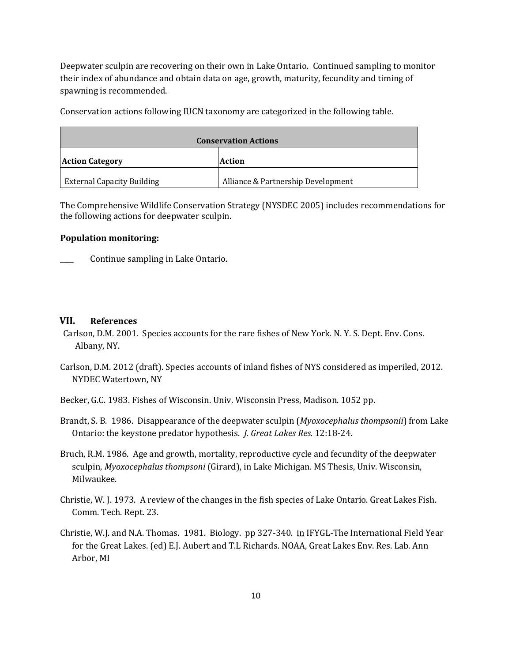Deepwater sculpin are recovering on their own in Lake Ontario. Continued sampling to monitor their index of abundance and obtain data on age, growth, maturity, fecundity and timing of spawning is recommended.

Conservation actions following IUCN taxonomy are categorized in the following table.

| <b>Conservation Actions</b>       |                                    |
|-----------------------------------|------------------------------------|
| <b>Action Category</b>            | Action                             |
| <b>External Capacity Building</b> | Alliance & Partnership Development |

The Comprehensive Wildlife Conservation Strategy (NYSDEC 2005) includes recommendations for the following actions for deepwater sculpin.

#### **Population monitoring:**

Continue sampling in Lake Ontario.

### **VII. References**

- Carlson, D.M. 2001. Species accounts for the rare fishes of New York. N. Y. S. Dept. Env. Cons. Albany, NY.
- Carlson, D.M. 2012 (draft). Species accounts of inland fishes of NYS considered as imperiled, 2012. NYDEC Watertown, NY

Becker, G.C. 1983. Fishes of Wisconsin. Univ. Wisconsin Press, Madison. 1052 pp.

- Brandt, S. B. 1986. Disappearance of the deepwater sculpin (*Myoxocephalus thompsonii*) from Lake Ontario: the keystone predator hypothesis. *J. Great Lakes Res.* 12:18-24.
- Bruch, R.M. 1986. Age and growth, mortality, reproductive cycle and fecundity of the deepwater sculpin, *Myoxocephalus thompsoni* (Girard), in Lake Michigan. MS Thesis, Univ. Wisconsin, Milwaukee.
- Christie, W. J. 1973. A review of the changes in the fish species of Lake Ontario. Great Lakes Fish. Comm. Tech. Rept. 23.
- Christie, W.J. and N.A. Thomas. 1981. Biology. pp 327-340. in IFYGL-The International Field Year for the Great Lakes. (ed) E.J. Aubert and T.L Richards. NOAA, Great Lakes Env. Res. Lab. Ann Arbor, MI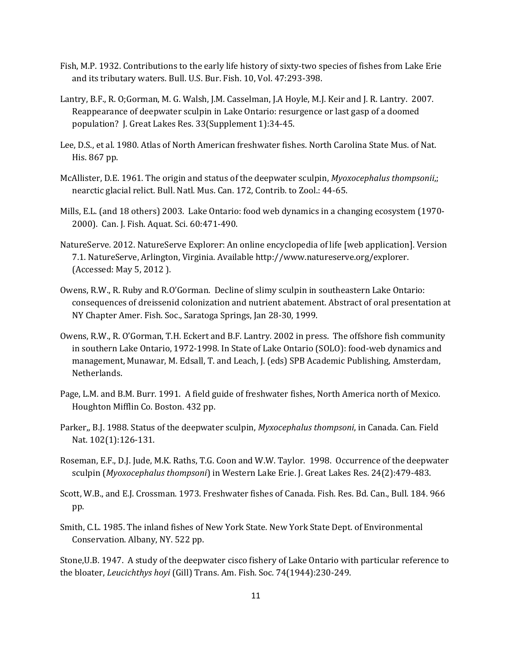- Fish, M.P. 1932. Contributions to the early life history of sixty-two species of fishes from Lake Erie and its tributary waters. Bull. U.S. Bur. Fish. 10, Vol. 47:293-398.
- Lantry, B.F., R. O;Gorman, M. G. Walsh, J.M. Casselman, J.A Hoyle, M.J. Keir and J. R. Lantry. 2007. Reappearance of deepwater sculpin in Lake Ontario: resurgence or last gasp of a doomed population? J. Great Lakes Res. 33(Supplement 1):34-45.
- Lee, D.S., et al. 1980. Atlas of North American freshwater fishes. North Carolina State Mus. of Nat. His. 867 pp.
- McAllister, D.E. 1961. The origin and status of the deepwater sculpin, *Myoxocephalus thompsonii*,; nearctic glacial relict. Bull. Natl. Mus. Can. 172, Contrib. to Zool.: 44-65.
- Mills, E.L. (and 18 others) 2003. Lake Ontario: food web dynamics in a changing ecosystem (1970- 2000). Can. J. Fish. Aquat. Sci. 60:471-490.
- NatureServe. 2012. NatureServe Explorer: An online encyclopedia of life [web application]. Version 7.1. NatureServe, Arlington, Virginia. Available http://www.natureserve.org/explorer. (Accessed: May 5, 2012 ).
- Owens, R.W., R. Ruby and R.O'Gorman. Decline of slimy sculpin in southeastern Lake Ontario: consequences of dreissenid colonization and nutrient abatement. Abstract of oral presentation at NY Chapter Amer. Fish. Soc., Saratoga Springs, Jan 28-30, 1999.
- Owens, R.W., R. O'Gorman, T.H. Eckert and B.F. Lantry. 2002 in press. The offshore fish community in southern Lake Ontario, 1972-1998. In State of Lake Ontario (SOLO): food-web dynamics and management, Munawar, M. Edsall, T. and Leach, J. (eds) SPB Academic Publishing, Amsterdam, Netherlands.
- Page, L.M. and B.M. Burr. 1991. A field guide of freshwater fishes, North America north of Mexico. Houghton Mifflin Co. Boston. 432 pp.
- Parker,, B.J. 1988. Status of the deepwater sculpin, *Myxocephalus thompsoni*, in Canada. Can. Field Nat. 102(1):126-131.
- Roseman, E.F., D.J. Jude, M.K. Raths, T.G. Coon and W.W. Taylor. 1998. Occurrence of the deepwater sculpin (*Myoxocephalus thompsoni*) in Western Lake Erie. J. Great Lakes Res. 24(2):479-483.
- Scott, W.B., and E.J. Crossman. 1973. Freshwater fishes of Canada. Fish. Res. Bd. Can., Bull. 184. 966 pp.
- Smith, C.L. 1985. The inland fishes of New York State. New York State Dept. of Environmental Conservation. Albany, NY. 522 pp.

Stone,U.B. 1947. A study of the deepwater cisco fishery of Lake Ontario with particular reference to the bloater, *Leucichthys hoyi* (Gill) Trans. Am. Fish. Soc. 74(1944):230-249.